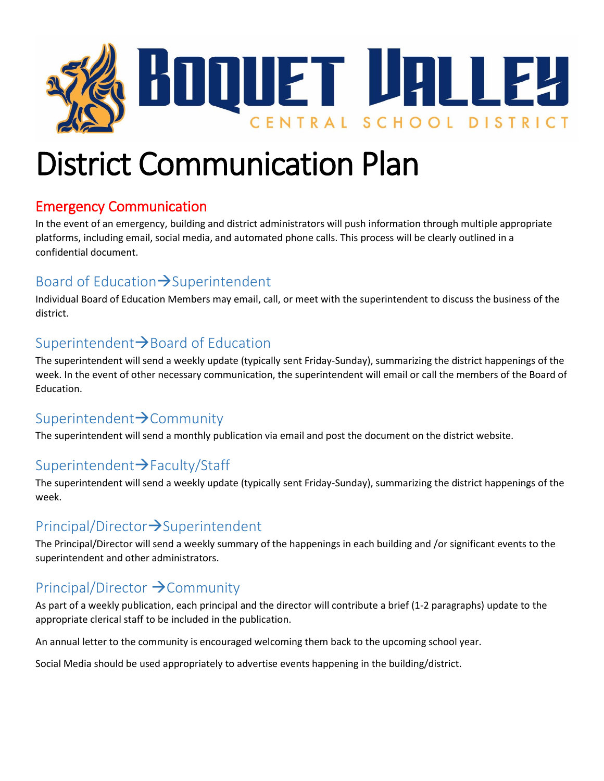

# District Communication Plan

#### Emergency Communication

In the event of an emergency, building and district administrators will push information through multiple appropriate platforms, including email, social media, and automated phone calls. This process will be clearly outlined in a confidential document.

#### Board of Education $\rightarrow$ Superintendent

Individual Board of Education Members may email, call, or meet with the superintendent to discuss the business of the district.

#### Superintendent $\rightarrow$ Board of Education

The superintendent will send a weekly update (typically sent Friday-Sunday), summarizing the district happenings of the week. In the event of other necessary communication, the superintendent will email or call the members of the Board of Education.

#### Superintendent $\rightarrow$ Community

The superintendent will send a monthly publication via email and post the document on the district website.

### Superintendent > Faculty/Staff

The superintendent will send a weekly update (typically sent Friday-Sunday), summarizing the district happenings of the week.

#### $Principal/Directory$ >Superintendent

The Principal/Director will send a weekly summary of the happenings in each building and /or significant events to the superintendent and other administrators.

#### Principal/Director  $\rightarrow$  Community

As part of a weekly publication, each principal and the director will contribute a brief (1-2 paragraphs) update to the appropriate clerical staff to be included in the publication.

An annual letter to the community is encouraged welcoming them back to the upcoming school year.

Social Media should be used appropriately to advertise events happening in the building/district.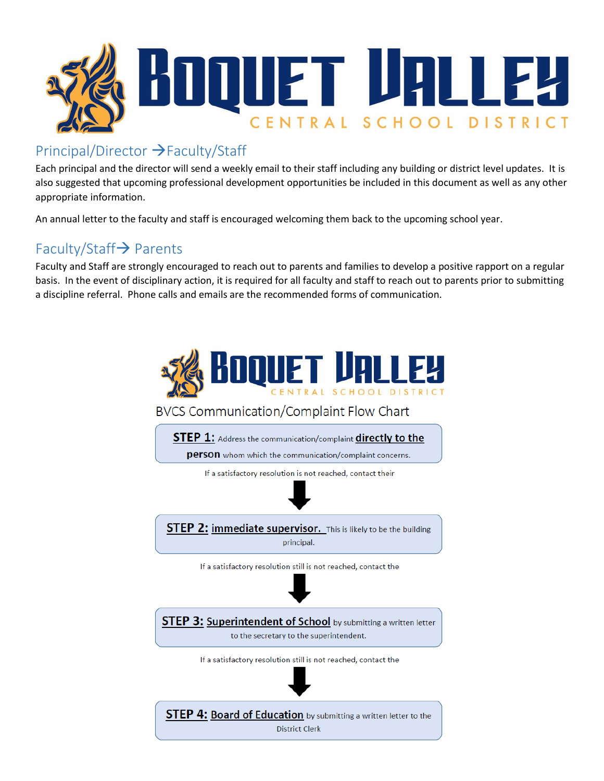

#### Principal/Director >Faculty/Staff

Each principal and the director will send a weekly email to their staff including any building or district level updates. It is also suggested that upcoming professional development opportunities be included in this document as well as any other appropriate information.

An annual letter to the faculty and staff is encouraged welcoming them back to the upcoming school year.

#### Faculty/Staff $\rightarrow$  Parents

Faculty and Staff are strongly encouraged to reach out to parents and families to develop a positive rapport on a regular basis. In the event of disciplinary action, it is required for all faculty and staff to reach out to parents prior to submitting a discipline referral. Phone calls and emails are the recommended forms of communication.